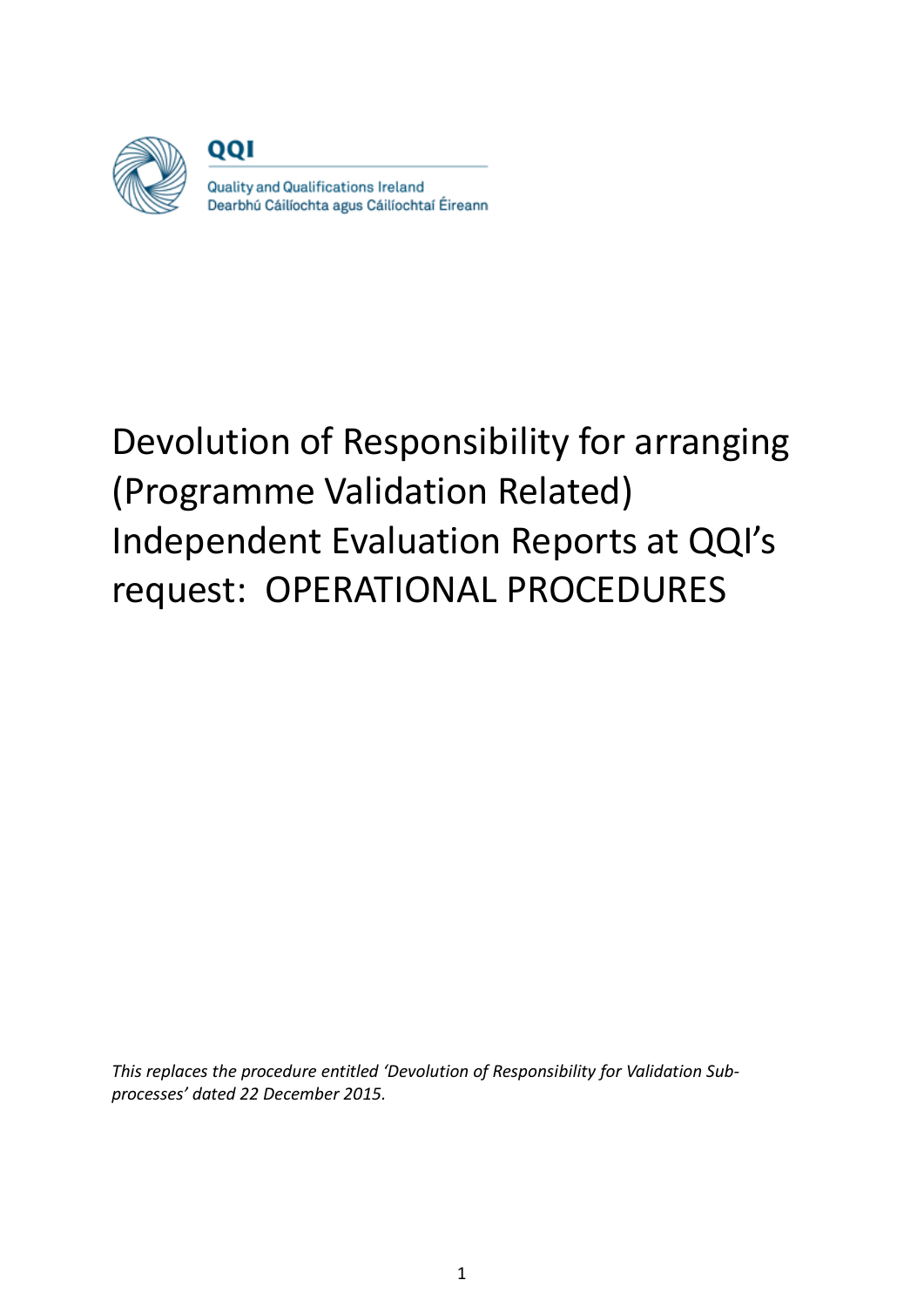

001

Quality and Qualifications Ireland Dearbhú Cáilíochta agus Cáilíochtaí Éireann

# Devolution of Responsibility for arranging (Programme Validation Related) Independent Evaluation Reports at QQI's request: OPERATIONAL PROCEDURES

*This replaces the procedure entitled 'Devolution of Responsibility for Validation Subprocesses' dated 22 December 2015.*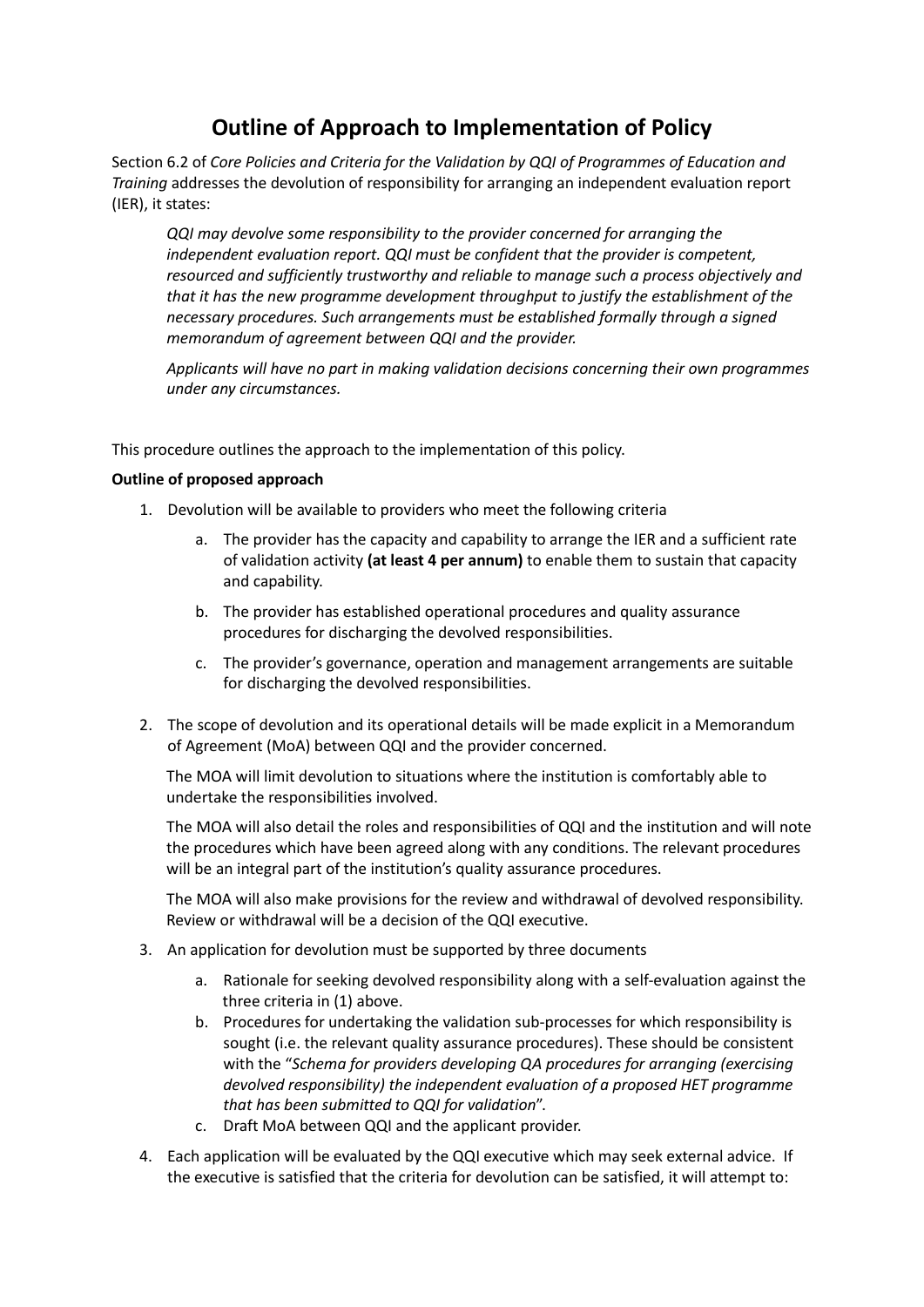# **Outline of Approach to Implementation of Policy**

Section 6.2 of *Core Policies and Criteria for the Validation by QQI of Programmes of Education and Training* addresses the devolution of responsibility for arranging an independent evaluation report (IER), it states:

*QQI may devolve some responsibility to the provider concerned for arranging the independent evaluation report. QQI must be confident that the provider is competent, resourced and sufficiently trustworthy and reliable to manage such a process objectively and that it has the new programme development throughput to justify the establishment of the necessary procedures. Such arrangements must be established formally through a signed memorandum of agreement between QQI and the provider.* 

*Applicants will have no part in making validation decisions concerning their own programmes under any circumstances.*

This procedure outlines the approach to the implementation of this policy.

#### **Outline of proposed approach**

- 1. Devolution will be available to providers who meet the following criteria
	- a. The provider has the capacity and capability to arrange the IER and a sufficient rate of validation activity **(at least 4 per annum)** to enable them to sustain that capacity and capability.
	- b. The provider has established operational procedures and quality assurance procedures for discharging the devolved responsibilities.
	- c. The provider's governance, operation and management arrangements are suitable for discharging the devolved responsibilities.
- 2. The scope of devolution and its operational details will be made explicit in a Memorandum of Agreement (MoA) between QQI and the provider concerned.

The MOA will limit devolution to situations where the institution is comfortably able to undertake the responsibilities involved.

The MOA will also detail the roles and responsibilities of QQI and the institution and will note the procedures which have been agreed along with any conditions. The relevant procedures will be an integral part of the institution's quality assurance procedures.

The MOA will also make provisions for the review and withdrawal of devolved responsibility. Review or withdrawal will be a decision of the QQI executive.

- 3. An application for devolution must be supported by three documents
	- a. Rationale for seeking devolved responsibility along with a self-evaluation against the three criteria in (1) above.
	- b. Procedures for undertaking the validation sub-processes for which responsibility is sought (i.e. the relevant quality assurance procedures). These should be consistent with the "*Schema for providers developing QA procedures for arranging (exercising devolved responsibility) the independent evaluation of a proposed HET programme that has been submitted to QQI for validation*".
	- c. Draft MoA between QQI and the applicant provider.
- 4. Each application will be evaluated by the QQI executive which may seek external advice. If the executive is satisfied that the criteria for devolution can be satisfied, it will attempt to: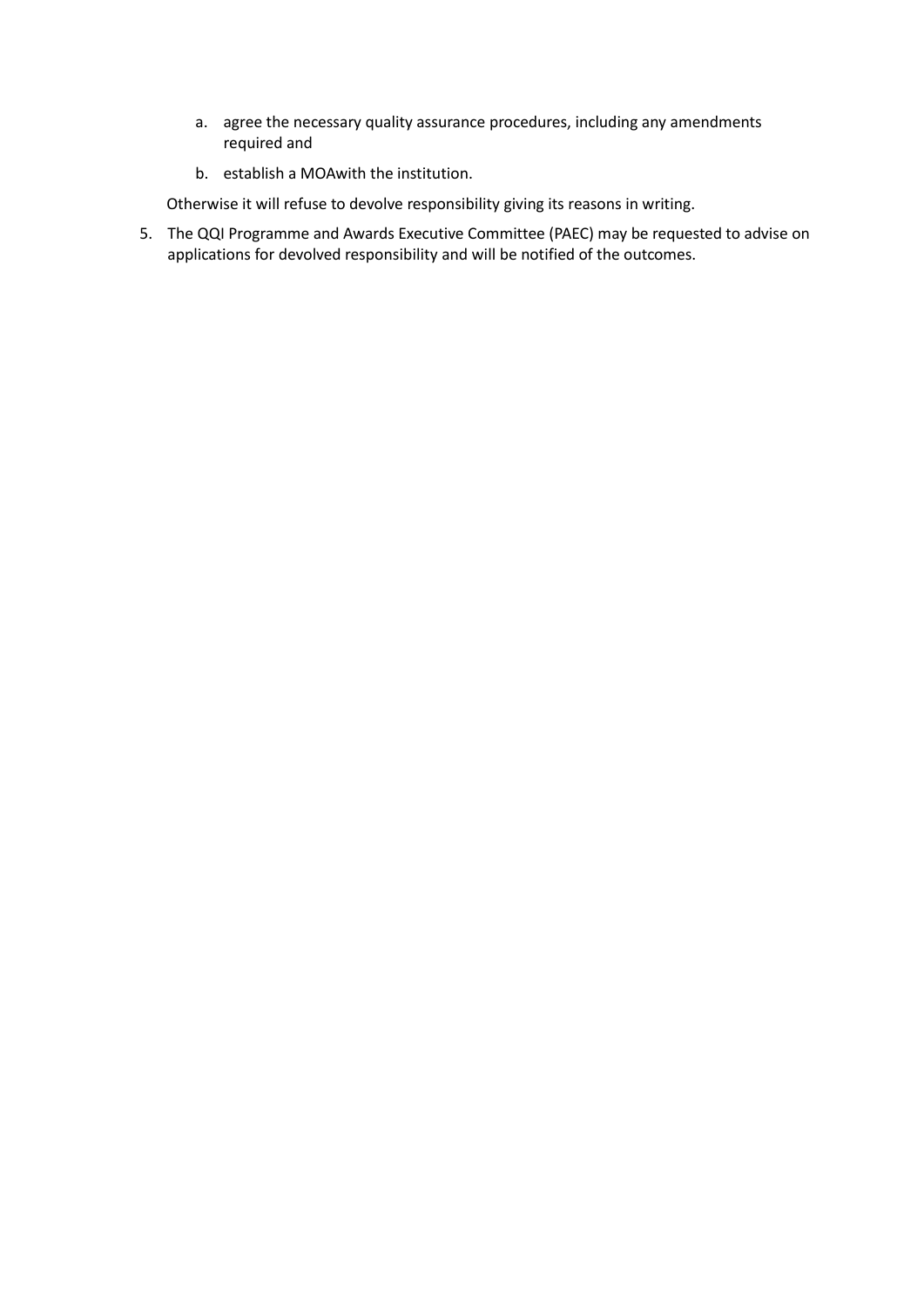- a. agree the necessary quality assurance procedures, including any amendments required and
- b. establish a MOAwith the institution.

Otherwise it will refuse to devolve responsibility giving its reasons in writing.

5. The QQI Programme and Awards Executive Committee (PAEC) may be requested to advise on applications for devolved responsibility and will be notified of the outcomes.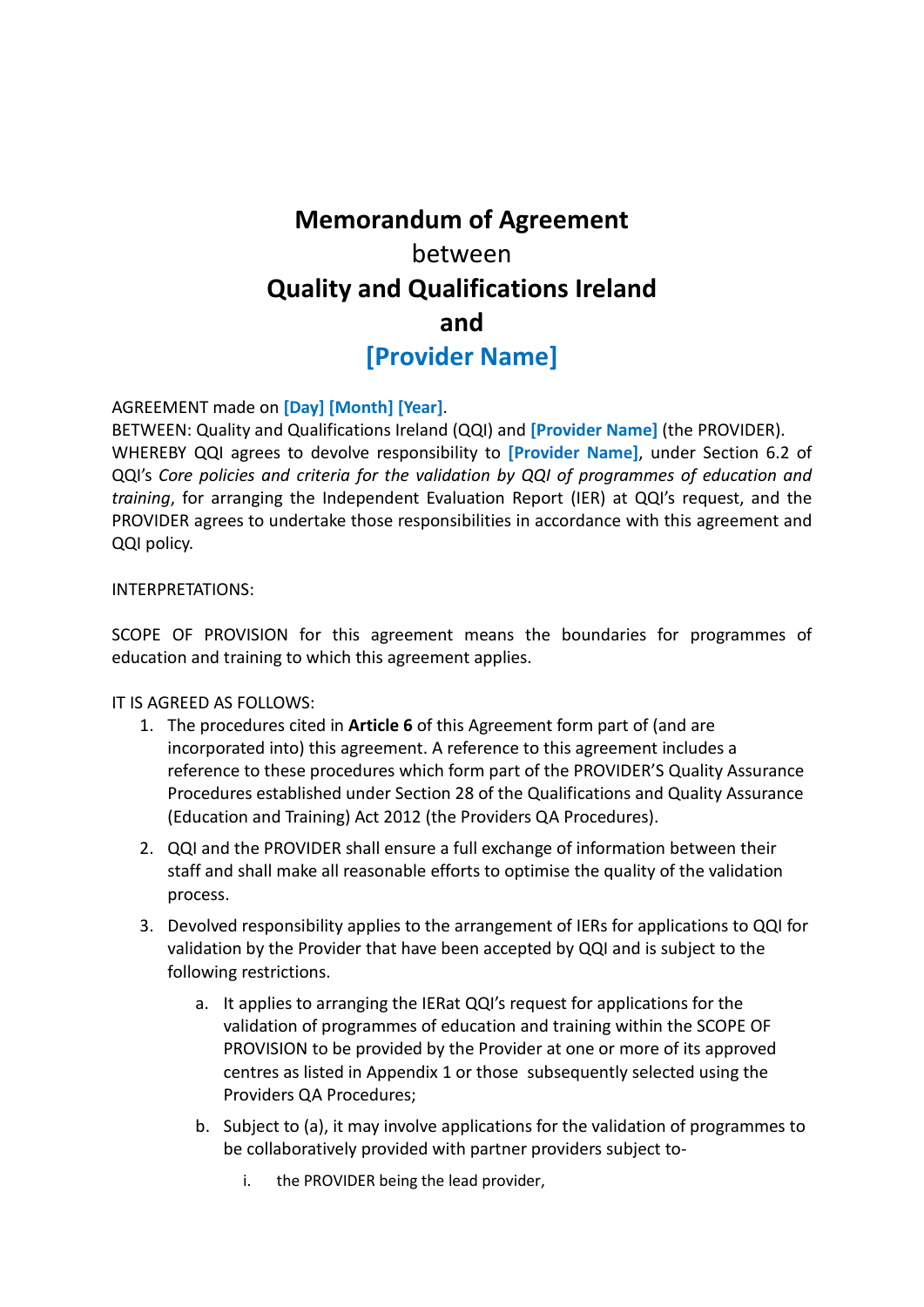# **Memorandum of Agreement**  between **Quality and Qualifications Ireland and [Provider Name]**

#### AGREEMENT made on **[Day] [Month] [Year]**.

BETWEEN: Quality and Qualifications Ireland (QQI) and **[Provider Name]** (the PROVIDER). WHEREBY QQI agrees to devolve responsibility to **[Provider Name]**, under Section 6.2 of QQI's *Core policies and criteria for the validation by QQI of programmes of education and training*, for arranging the Independent Evaluation Report (IER) at QQI's request, and the PROVIDER agrees to undertake those responsibilities in accordance with this agreement and QQI policy.

#### INTERPRETATIONS:

SCOPE OF PROVISION for this agreement means the boundaries for programmes of education and training to which this agreement applies.

#### IT IS AGREED AS FOLLOWS:

- 1. The procedures cited in **Article 6** of this Agreement form part of (and are incorporated into) this agreement. A reference to this agreement includes a reference to these procedures which form part of the PROVIDER'S Quality Assurance Procedures established under Section 28 of the Qualifications and Quality Assurance (Education and Training) Act 2012 (the Providers QA Procedures).
- 2. QQI and the PROVIDER shall ensure a full exchange of information between their staff and shall make all reasonable efforts to optimise the quality of the validation process.
- 3. Devolved responsibility applies to the arrangement of IERs for applications to QQI for validation by the Provider that have been accepted by QQI and is subject to the following restrictions.
	- a. It applies to arranging the IERat QQI's request for applications for the validation of programmes of education and training within the SCOPE OF PROVISION to be provided by the Provider at one or more of its approved centres as listed in Appendix 1 or those subsequently selected using the Providers QA Procedures;
	- b. Subject to (a), it may involve applications for the validation of programmes to be collaboratively provided with partner providers subject to
		- i. the PROVIDER being the lead provider,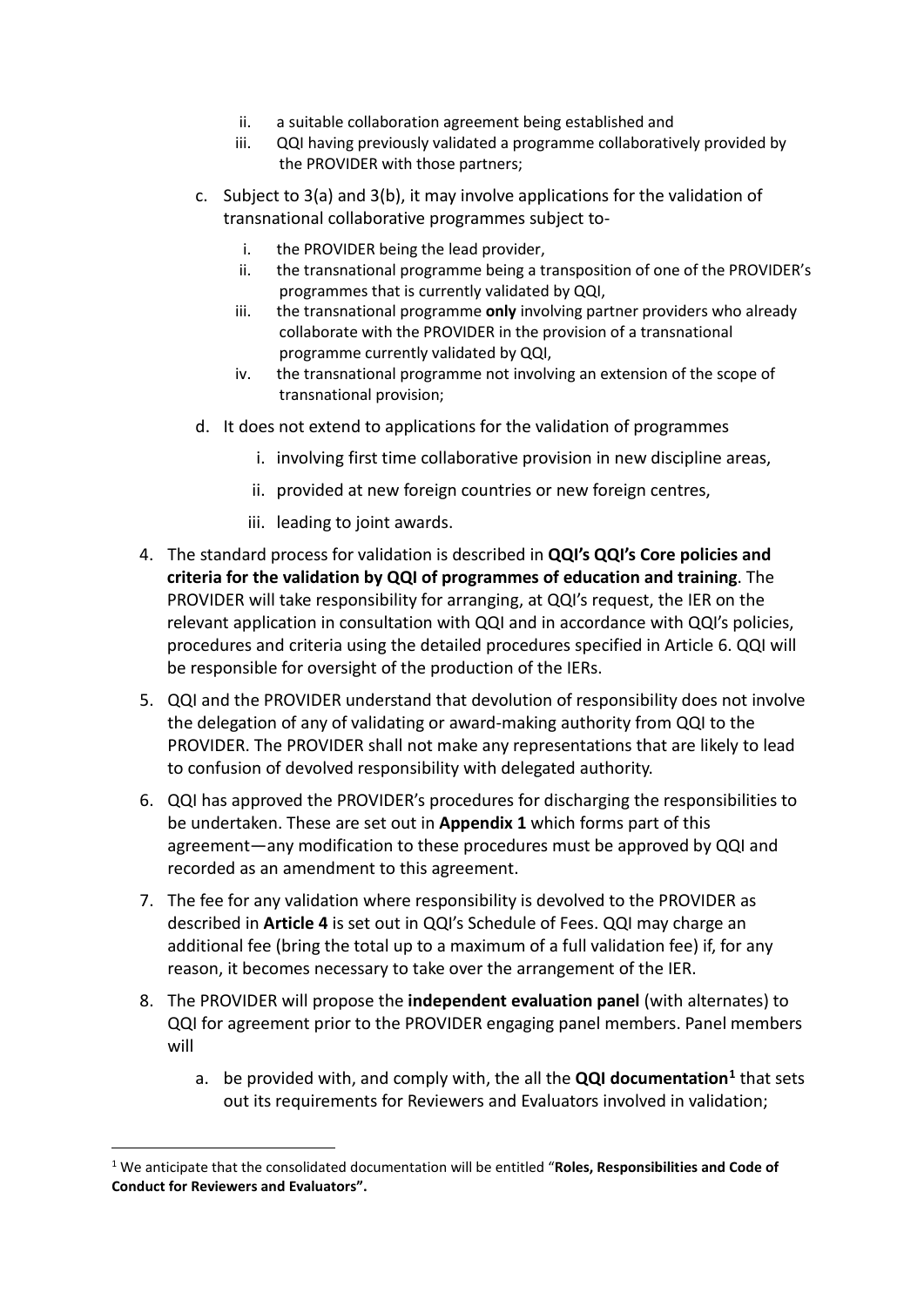- ii. a suitable collaboration agreement being established and
- iii. QQI having previously validated a programme collaboratively provided by the PROVIDER with those partners;
- c. Subject to 3(a) and 3(b), it may involve applications for the validation of transnational collaborative programmes subject to
	- i. the PROVIDER being the lead provider,
	- ii. the transnational programme being a transposition of one of the PROVIDER's programmes that is currently validated by QQI,
	- iii. the transnational programme **only** involving partner providers who already collaborate with the PROVIDER in the provision of a transnational programme currently validated by QQI,
	- iv. the transnational programme not involving an extension of the scope of transnational provision;
- d. It does not extend to applications for the validation of programmes
	- i. involving first time collaborative provision in new discipline areas,
	- ii. provided at new foreign countries or new foreign centres,
	- iii. leading to joint awards.
- 4. The standard process for validation is described in **QQI's QQI's Core policies and criteria for the validation by QQI of programmes of education and training**. The PROVIDER will take responsibility for arranging, at QQI's request, the IER on the relevant application in consultation with QQI and in accordance with QQI's policies, procedures and criteria using the detailed procedures specified in Article 6. QQI will be responsible for oversight of the production of the IERs.
- 5. QQI and the PROVIDER understand that devolution of responsibility does not involve the delegation of any of validating or award-making authority from QQI to the PROVIDER. The PROVIDER shall not make any representations that are likely to lead to confusion of devolved responsibility with delegated authority.
- 6. QQI has approved the PROVIDER's procedures for discharging the responsibilities to be undertaken. These are set out in **Appendix 1** which forms part of this agreement—any modification to these procedures must be approved by QQI and recorded as an amendment to this agreement.
- 7. The fee for any validation where responsibility is devolved to the PROVIDER as described in **Article 4** is set out in QQI's Schedule of Fees. QQI may charge an additional fee (bring the total up to a maximum of a full validation fee) if, for any reason, it becomes necessary to take over the arrangement of the IER.
- 8. The PROVIDER will propose the **independent evaluation panel** (with alternates) to QQI for agreement prior to the PROVIDER engaging panel members. Panel members will
	- a. be provided with, and comply with, the all the **QQI documentation[1](#page-4-0)** that sets out its requirements for Reviewers and Evaluators involved in validation;

<span id="page-4-0"></span> <sup>1</sup> We anticipate that the consolidated documentation will be entitled "**Roles, Responsibilities and Code of Conduct for Reviewers and Evaluators".**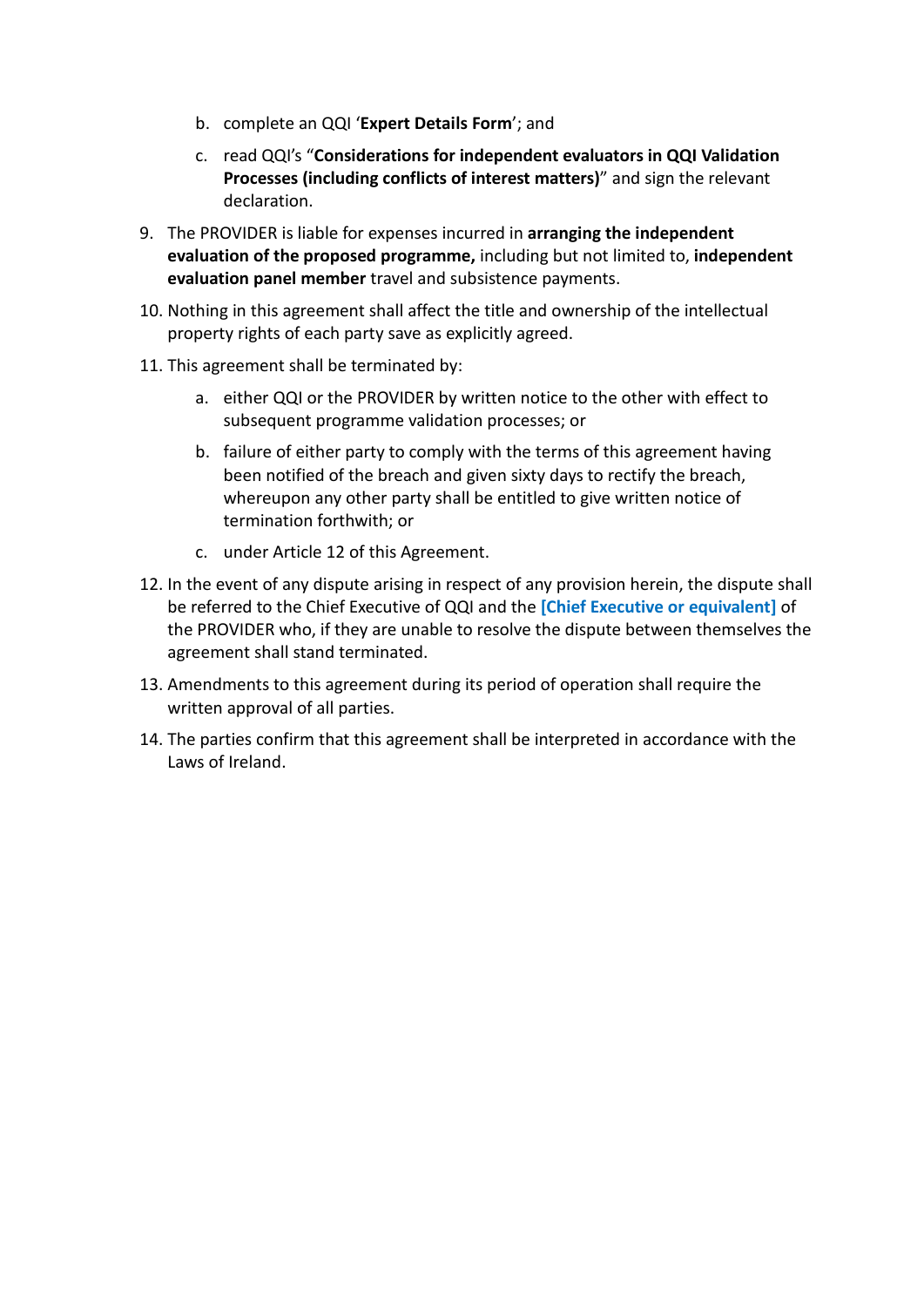- b. complete an QQI '**Expert Details Form**'; and
- c. read QQI's "**Considerations for independent evaluators in QQI Validation Processes (including conflicts of interest matters)**" and sign the relevant declaration.
- 9. The PROVIDER is liable for expenses incurred in **arranging the independent evaluation of the proposed programme,** including but not limited to, **independent evaluation panel member** travel and subsistence payments.
- 10. Nothing in this agreement shall affect the title and ownership of the intellectual property rights of each party save as explicitly agreed.
- 11. This agreement shall be terminated by:
	- a. either QQI or the PROVIDER by written notice to the other with effect to subsequent programme validation processes; or
	- b. failure of either party to comply with the terms of this agreement having been notified of the breach and given sixty days to rectify the breach, whereupon any other party shall be entitled to give written notice of termination forthwith; or
	- c. under Article 12 of this Agreement.
- 12. In the event of any dispute arising in respect of any provision herein, the dispute shall be referred to the Chief Executive of QQI and the **[Chief Executive or equivalent]** of the PROVIDER who, if they are unable to resolve the dispute between themselves the agreement shall stand terminated.
- 13. Amendments to this agreement during its period of operation shall require the written approval of all parties.
- 14. The parties confirm that this agreement shall be interpreted in accordance with the Laws of Ireland.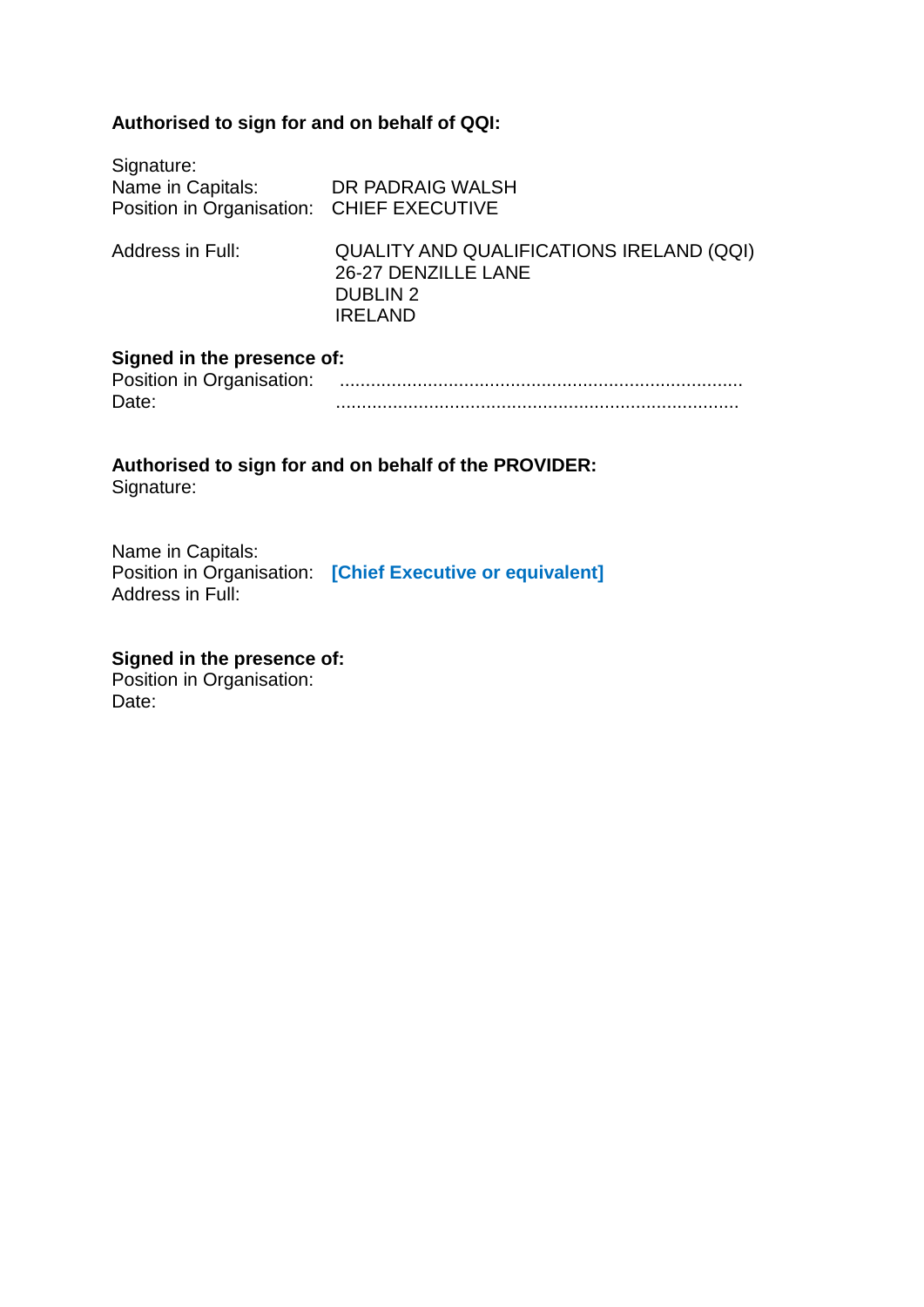#### **Authorised to sign for and on behalf of QQI:**

| Signature:<br>Name in Capitals:<br>Position in Organisation: CHIEF EXECUTIVE | DR PADRAIG WALSH                                                                                     |
|------------------------------------------------------------------------------|------------------------------------------------------------------------------------------------------|
| Address in Full:                                                             | QUALITY AND QUALIFICATIONS IRELAND (QQI)<br>26-27 DENZILLE LANE<br><b>DUBLIN 2</b><br><b>IRELAND</b> |

#### **Signed in the presence of:**

| Position in Organisation: |  |
|---------------------------|--|
| Date.                     |  |

#### **Authorised to sign for and on behalf of the PROVIDER:** Signature:

Name in Capitals: Position in Organisation: **[Chief Executive or equivalent]** Address in Full:

#### **Signed in the presence of:**

Position in Organisation: Date: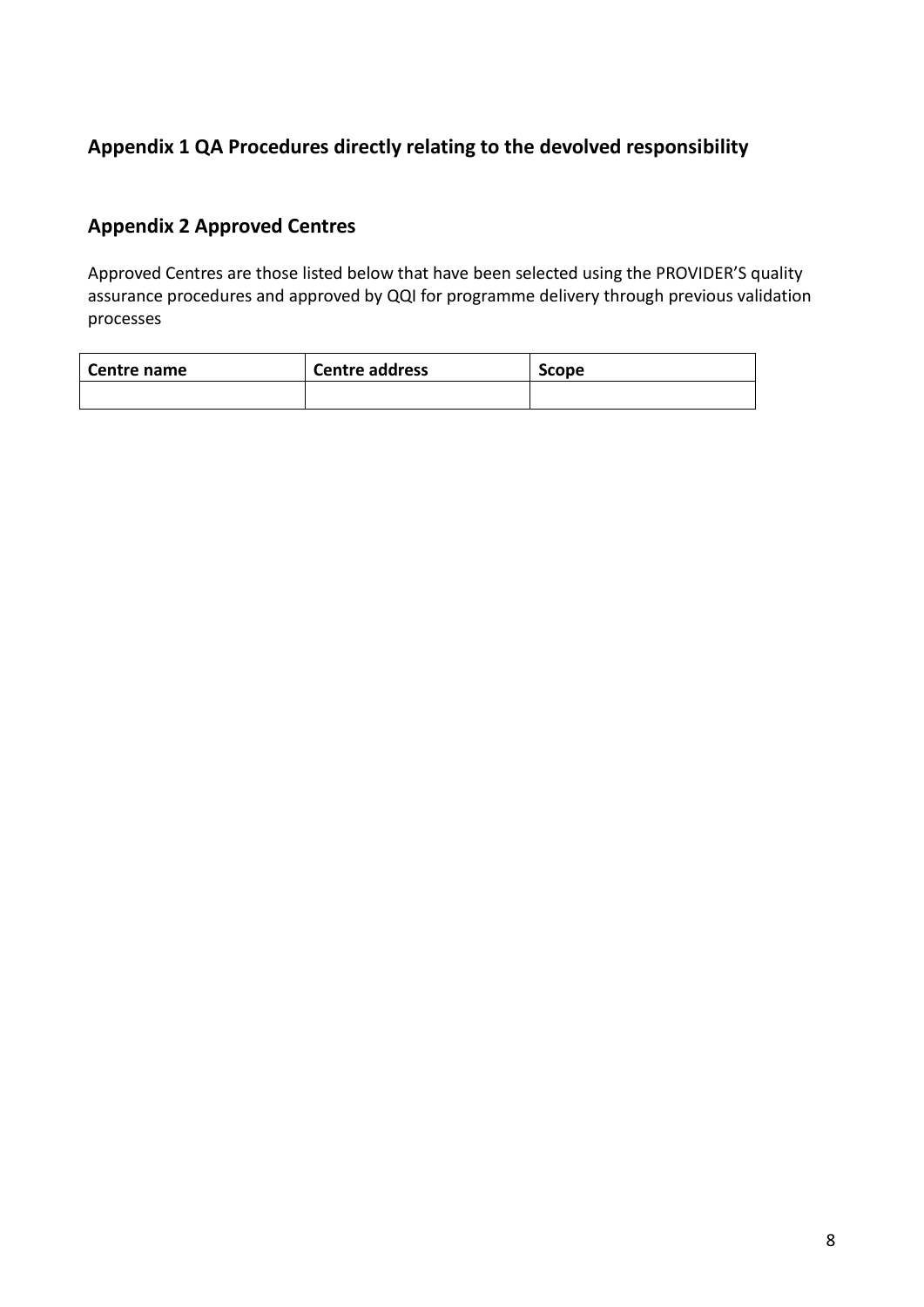#### **Appendix 1 QA Procedures directly relating to the devolved responsibility**

# **Appendix 2 Approved Centres**

Approved Centres are those listed below that have been selected using the PROVIDER'S quality assurance procedures and approved by QQI for programme delivery through previous validation processes

| Centre name | <b>Centre address</b> | <b>Scope</b> |
|-------------|-----------------------|--------------|
|             |                       |              |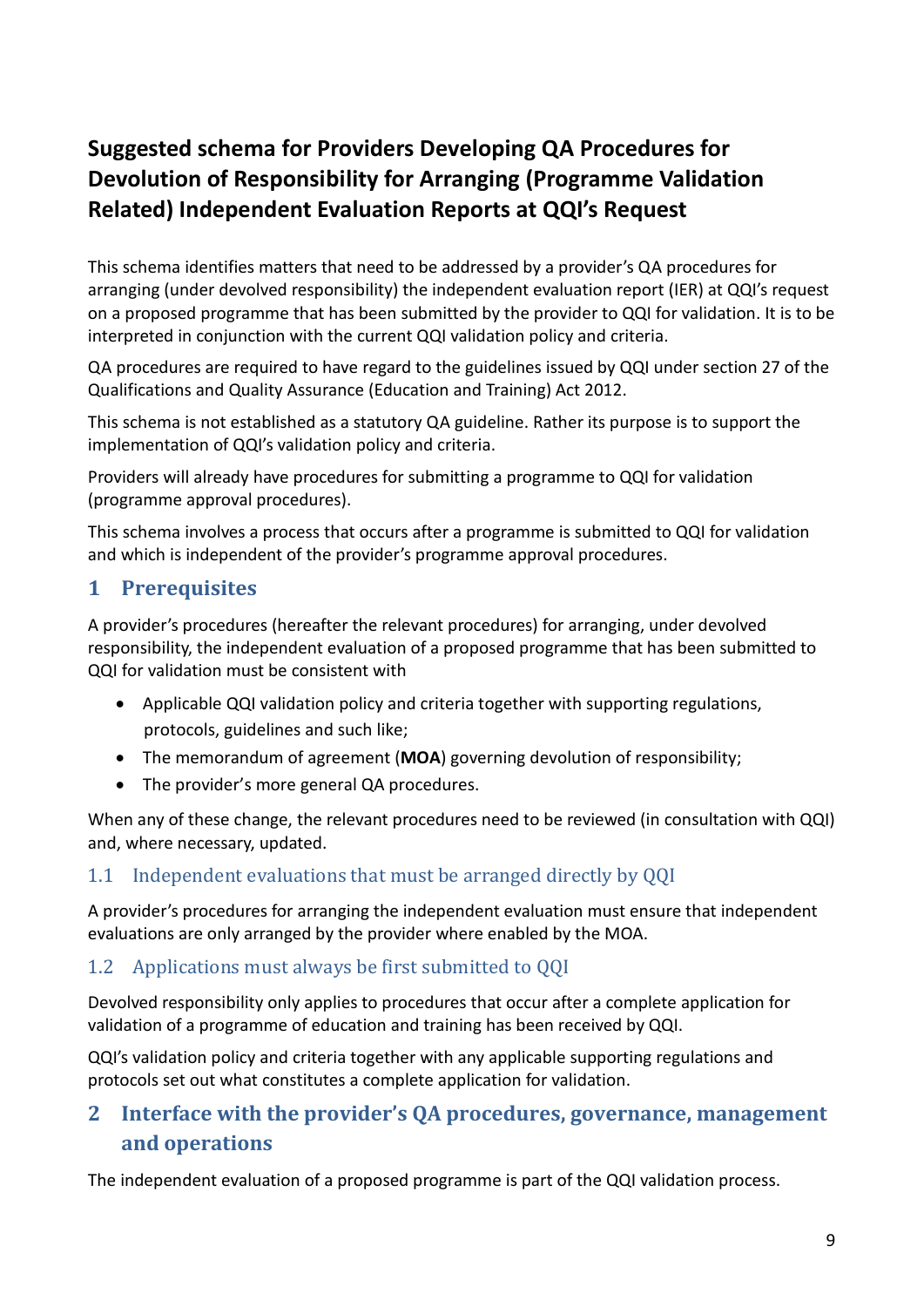# **Suggested schema for Providers Developing QA Procedures for Devolution of Responsibility for Arranging (Programme Validation Related) Independent Evaluation Reports at QQI's Request**

This schema identifies matters that need to be addressed by a provider's QA procedures for arranging (under devolved responsibility) the independent evaluation report (IER) at QQI's request on a proposed programme that has been submitted by the provider to QQI for validation. It is to be interpreted in conjunction with the current QQI validation policy and criteria.

QA procedures are required to have regard to the guidelines issued by QQI under section 27 of the Qualifications and Quality Assurance (Education and Training) Act 2012.

This schema is not established as a statutory QA guideline. Rather its purpose is to support the implementation of QQI's validation policy and criteria.

Providers will already have procedures for submitting a programme to QQI for validation (programme approval procedures).

This schema involves a process that occurs after a programme is submitted to QQI for validation and which is independent of the provider's programme approval procedures.

# **1 Prerequisites**

A provider's procedures (hereafter the relevant procedures) for arranging, under devolved responsibility, the independent evaluation of a proposed programme that has been submitted to QQI for validation must be consistent with

- Applicable QQI validation policy and criteria together with supporting regulations, protocols, guidelines and such like;
- The memorandum of agreement (**MOA**) governing devolution of responsibility;
- The provider's more general QA procedures.

When any of these change, the relevant procedures need to be reviewed (in consultation with QQI) and, where necessary, updated.

#### 1.1 Independent evaluations that must be arranged directly by QQI

A provider's procedures for arranging the independent evaluation must ensure that independent evaluations are only arranged by the provider where enabled by the MOA.

#### 1.2 Applications must always be first submitted to QQI

Devolved responsibility only applies to procedures that occur after a complete application for validation of a programme of education and training has been received by QQI.

QQI's validation policy and criteria together with any applicable supporting regulations and protocols set out what constitutes a complete application for validation.

# **2 Interface with the provider's QA procedures, governance, management and operations**

The independent evaluation of a proposed programme is part of the QQI validation process.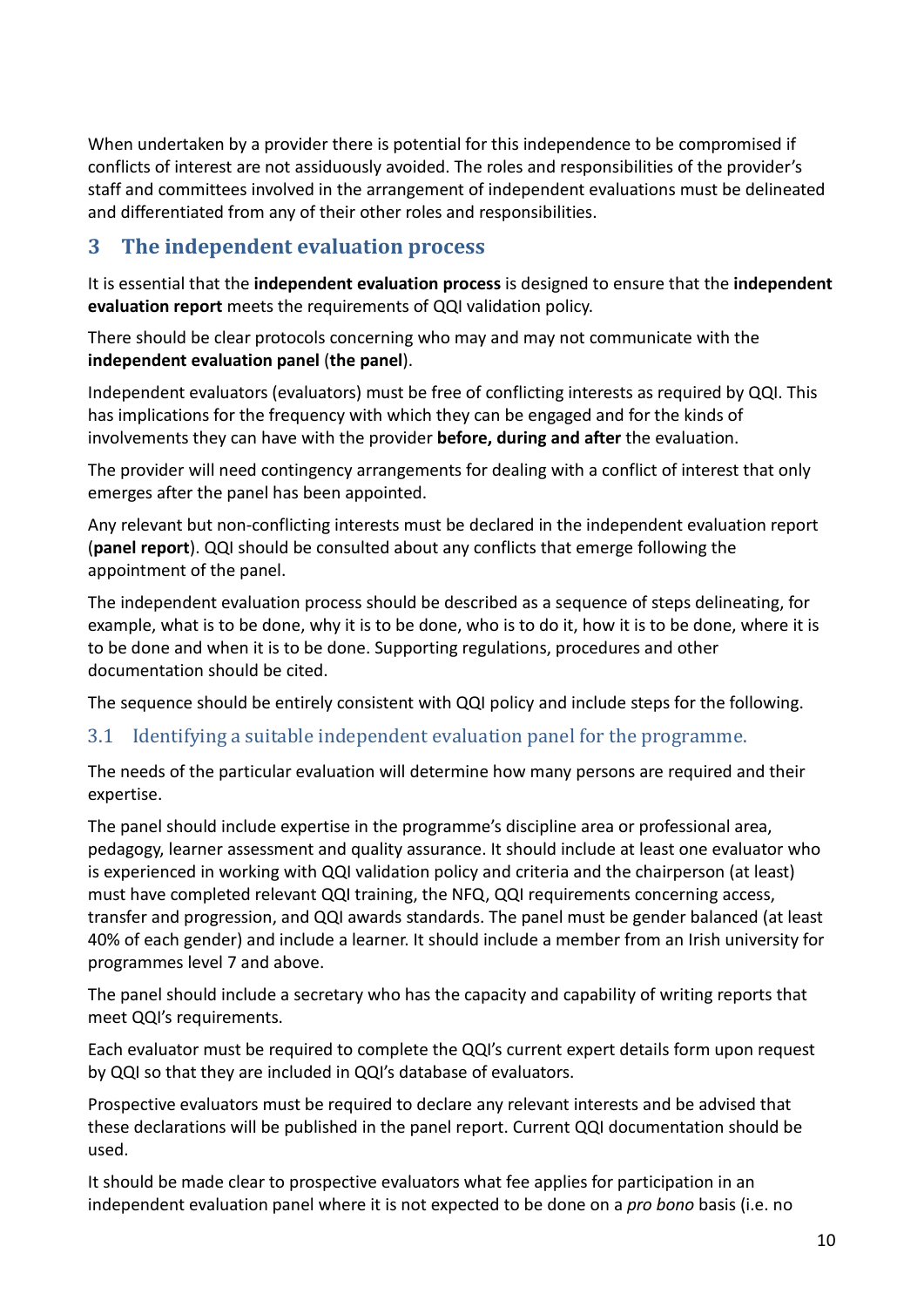When undertaken by a provider there is potential for this independence to be compromised if conflicts of interest are not assiduously avoided. The roles and responsibilities of the provider's staff and committees involved in the arrangement of independent evaluations must be delineated and differentiated from any of their other roles and responsibilities.

## **3 The independent evaluation process**

It is essential that the **independent evaluation process** is designed to ensure that the **independent evaluation report** meets the requirements of QQI validation policy.

There should be clear protocols concerning who may and may not communicate with the **independent evaluation panel** (**the panel**).

Independent evaluators (evaluators) must be free of conflicting interests as required by QQI. This has implications for the frequency with which they can be engaged and for the kinds of involvements they can have with the provider **before, during and after** the evaluation.

The provider will need contingency arrangements for dealing with a conflict of interest that only emerges after the panel has been appointed.

Any relevant but non-conflicting interests must be declared in the independent evaluation report (**panel report**). QQI should be consulted about any conflicts that emerge following the appointment of the panel.

The independent evaluation process should be described as a sequence of steps delineating, for example, what is to be done, why it is to be done, who is to do it, how it is to be done, where it is to be done and when it is to be done. Supporting regulations, procedures and other documentation should be cited.

The sequence should be entirely consistent with QQI policy and include steps for the following.

#### <span id="page-9-0"></span>3.1 Identifying a suitable independent evaluation panel for the programme.

The needs of the particular evaluation will determine how many persons are required and their expertise.

The panel should include expertise in the programme's discipline area or professional area, pedagogy, learner assessment and quality assurance. It should include at least one evaluator who is experienced in working with QQI validation policy and criteria and the chairperson (at least) must have completed relevant QQI training, the NFQ, QQI requirements concerning access, transfer and progression, and QQI awards standards. The panel must be gender balanced (at least 40% of each gender) and include a learner. It should include a member from an Irish university for programmes level 7 and above.

The panel should include a secretary who has the capacity and capability of writing reports that meet QQI's requirements.

Each evaluator must be required to complete the QQI's current expert details form upon request by QQI so that they are included in QQI's database of evaluators.

Prospective evaluators must be required to declare any relevant interests and be advised that these declarations will be published in the panel report. Current QQI documentation should be used.

It should be made clear to prospective evaluators what fee applies for participation in an independent evaluation panel where it is not expected to be done on a *pro bono* basis (i.e. no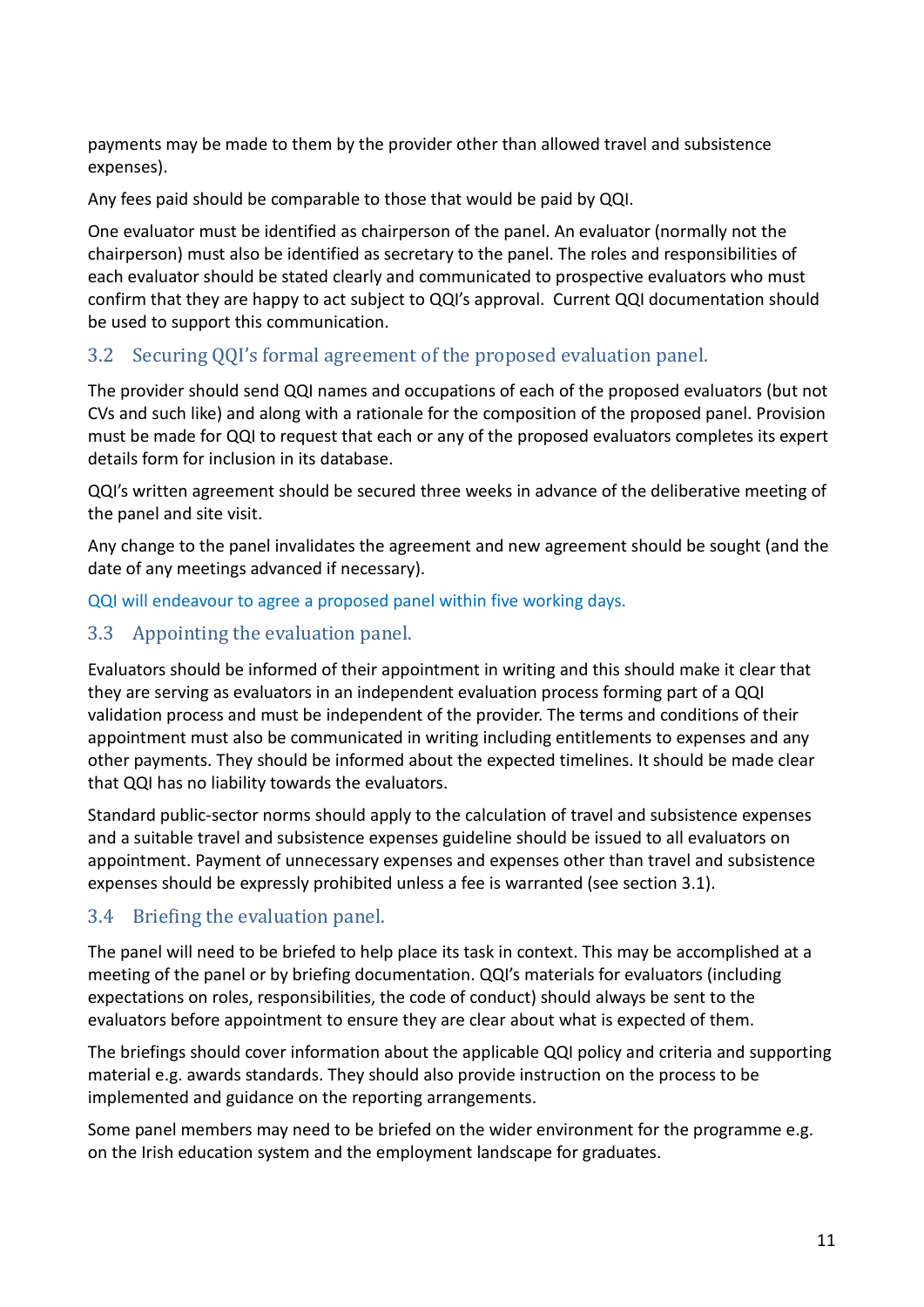payments may be made to them by the provider other than allowed travel and subsistence expenses).

Any fees paid should be comparable to those that would be paid by QQI.

One evaluator must be identified as chairperson of the panel. An evaluator (normally not the chairperson) must also be identified as secretary to the panel. The roles and responsibilities of each evaluator should be stated clearly and communicated to prospective evaluators who must confirm that they are happy to act subject to QQI's approval. Current QQI documentation should be used to support this communication.

#### 3.2 Securing QQI's formal agreement of the proposed evaluation panel.

The provider should send QQI names and occupations of each of the proposed evaluators (but not CVs and such like) and along with a rationale for the composition of the proposed panel. Provision must be made for QQI to request that each or any of the proposed evaluators completes its expert details form for inclusion in its database.

QQI's written agreement should be secured three weeks in advance of the deliberative meeting of the panel and site visit.

Any change to the panel invalidates the agreement and new agreement should be sought (and the date of any meetings advanced if necessary).

QQI will endeavour to agree a proposed panel within five working days.

#### 3.3 Appointing the evaluation panel.

Evaluators should be informed of their appointment in writing and this should make it clear that they are serving as evaluators in an independent evaluation process forming part of a QQI validation process and must be independent of the provider. The terms and conditions of their appointment must also be communicated in writing including entitlements to expenses and any other payments. They should be informed about the expected timelines. It should be made clear that QQI has no liability towards the evaluators.

Standard public-sector norms should apply to the calculation of travel and subsistence expenses and a suitable travel and subsistence expenses guideline should be issued to all evaluators on appointment. Payment of unnecessary expenses and expenses other than travel and subsistence expenses should be expressly prohibited unless a fee is warranted (see section [3.1\)](#page-9-0).

#### 3.4 Briefing the evaluation panel.

The panel will need to be briefed to help place its task in context. This may be accomplished at a meeting of the panel or by briefing documentation. QQI's materials for evaluators (including expectations on roles, responsibilities, the code of conduct) should always be sent to the evaluators before appointment to ensure they are clear about what is expected of them.

The briefings should cover information about the applicable QQI policy and criteria and supporting material e.g. awards standards. They should also provide instruction on the process to be implemented and guidance on the reporting arrangements.

Some panel members may need to be briefed on the wider environment for the programme e.g. on the Irish education system and the employment landscape for graduates.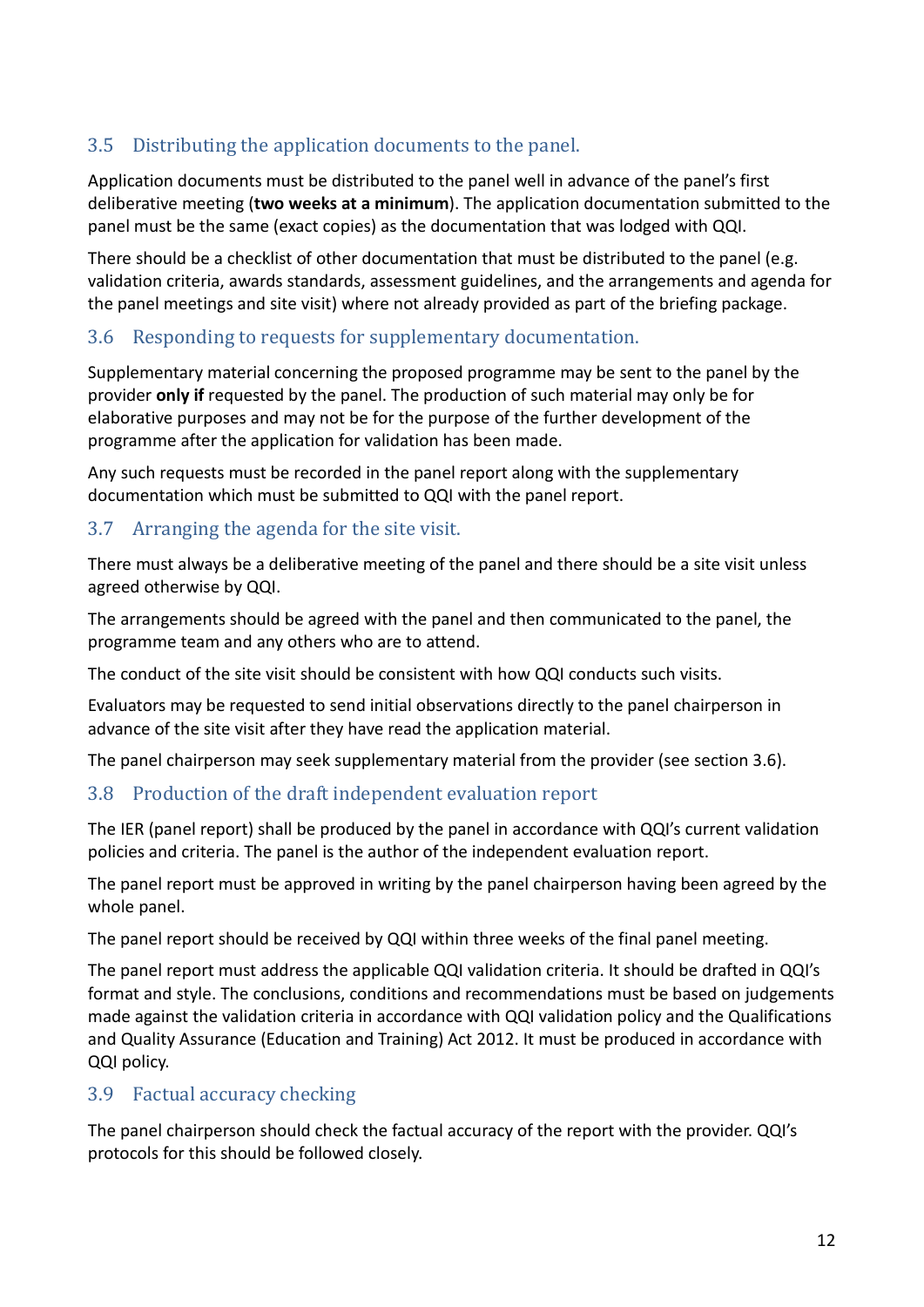# 3.5 Distributing the application documents to the panel.

Application documents must be distributed to the panel well in advance of the panel's first deliberative meeting (**two weeks at a minimum**). The application documentation submitted to the panel must be the same (exact copies) as the documentation that was lodged with QQI.

There should be a checklist of other documentation that must be distributed to the panel (e.g. validation criteria, awards standards, assessment guidelines, and the arrangements and agenda for the panel meetings and site visit) where not already provided as part of the briefing package.

#### <span id="page-11-0"></span>3.6 Responding to requests for supplementary documentation.

Supplementary material concerning the proposed programme may be sent to the panel by the provider **only if** requested by the panel. The production of such material may only be for elaborative purposes and may not be for the purpose of the further development of the programme after the application for validation has been made.

Any such requests must be recorded in the panel report along with the supplementary documentation which must be submitted to QQI with the panel report.

#### 3.7 Arranging the agenda for the site visit.

There must always be a deliberative meeting of the panel and there should be a site visit unless agreed otherwise by QQI.

The arrangements should be agreed with the panel and then communicated to the panel, the programme team and any others who are to attend.

The conduct of the site visit should be consistent with how QQI conducts such visits.

Evaluators may be requested to send initial observations directly to the panel chairperson in advance of the site visit after they have read the application material.

The panel chairperson may seek supplementary material from the provider (see section [3.6\)](#page-11-0).

#### 3.8 Production of the draft independent evaluation report

The IER (panel report) shall be produced by the panel in accordance with QQI's current validation policies and criteria. The panel is the author of the independent evaluation report.

The panel report must be approved in writing by the panel chairperson having been agreed by the whole panel.

The panel report should be received by QQI within three weeks of the final panel meeting.

The panel report must address the applicable QQI validation criteria. It should be drafted in QQI's format and style. The conclusions, conditions and recommendations must be based on judgements made against the validation criteria in accordance with QQI validation policy and the Qualifications and Quality Assurance (Education and Training) Act 2012. It must be produced in accordance with QQI policy.

#### 3.9 Factual accuracy checking

The panel chairperson should check the factual accuracy of the report with the provider. QQI's protocols for this should be followed closely.